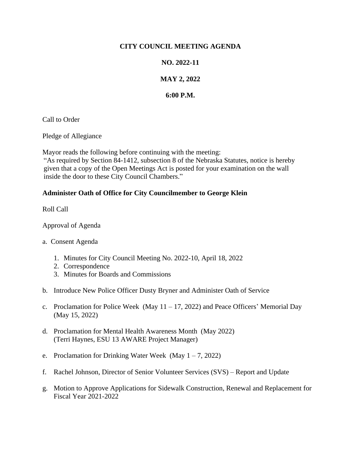### **CITY COUNCIL MEETING AGENDA**

### **NO. 2022-11**

# **MAY 2, 2022**

## **6:00 P.M.**

Call to Order

Pledge of Allegiance

Mayor reads the following before continuing with the meeting: "As required by Section 84-1412, subsection 8 of the Nebraska Statutes, notice is hereby given that a copy of the Open Meetings Act is posted for your examination on the wall inside the door to these City Council Chambers."

### **Administer Oath of Office for City Councilmember to George Klein**

Roll Call

Approval of Agenda

- a. Consent Agenda
	- 1. Minutes for City Council Meeting No. 2022-10, April 18, 2022
	- 2. Correspondence
	- 3. Minutes for Boards and Commissions
- b. Introduce New Police Officer Dusty Bryner and Administer Oath of Service
- c. Proclamation for Police Week (May  $11 17$ , 2022) and Peace Officers' Memorial Day (May 15, 2022)
- d. Proclamation for Mental Health Awareness Month (May 2022) (Terri Haynes, ESU 13 AWARE Project Manager)
- e. Proclamation for Drinking Water Week (May  $1 7$ , 2022)
- f. Rachel Johnson, Director of Senior Volunteer Services (SVS) Report and Update
- g. Motion to Approve Applications for Sidewalk Construction, Renewal and Replacement for Fiscal Year 2021-2022